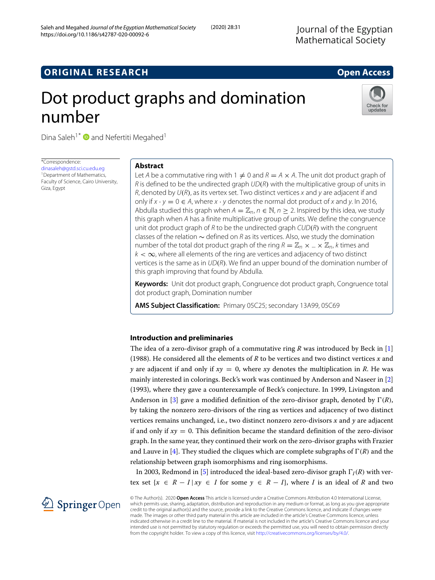## **ORIGINAL RESEARCH Open Access**

# Dot product graphs and domination number



Dina Saleh<sup>1\*</sup> **D** and Nefertiti Megahed<sup>1</sup>

\*Correspondence: [dinasaleh@gstd.sci.cu.edu.eg](mailto: dinasaleh@gstd.sci.cu.edu.eg) <sup>1</sup> Department of Mathematics, Faculty of Science, Cairo University, Giza, Egypt

## **Abstract**

Let A be a commutative ring with 1  $\neq$  0 and R  $=A\times$  A. The unit dot product graph of  $R$  is defined to be the undirected graph  $UD(R)$  with the multiplicative group of units in  $R$ , denoted by  $U(R)$ , as its vertex set. Two distinct vertices x and y are adjacent if and only if  $x \cdot y = 0 \in A$ , where  $x \cdot y$  denotes the normal dot product of x and y. In 2016, Abdulla studied this graph when  $A = \mathbb{Z}_n$ ,  $n \in \mathbb{N}$ ,  $n > 2$ . Inspired by this idea, we study this graph when A has a finite multiplicative group of units. We define the congruence unit dot product graph of R to be the undirected graph  $\text{CUD}(R)$  with the congruent classes of the relation ∼ defined on R as its vertices. Also, we study the domination number of the total dot product graph of the ring  $R = \mathbb{Z}_p \times ... \times \mathbb{Z}_p$ , k times and  $k < \infty$ , where all elements of the ring are vertices and adjacency of two distinct vertices is the same as in  $UD(R)$ . We find an upper bound of the domination number of this graph improving that found by Abdulla.

**Keywords:** Unit dot product graph, Congruence dot product graph, Congruence total dot product graph, Domination number

**AMS Subject Classification:** Primary 05C25; secondary 13A99, 05C69

## **Introduction and preliminaries**

The idea of a zero-divisor graph of a commutative ring *R* was introduced by Beck in [\[1\]](#page-9-0) (1988). He considered all the elements of *R* to be vertices and two distinct vertices *x* and *y* are adjacent if and only if  $xy = 0$ , where  $xy$  denotes the multiplication in *R*. He was mainly interested in colorings. Beck's work was continued by Anderson and Naseer in [\[2\]](#page-9-1) (1993), where they gave a counterexample of Beck's conjecture. In 1999, Livingston and Anderson in [\[3\]](#page-9-2) gave a modified definition of the zero-divisor graph, denoted by  $\Gamma(R)$ , by taking the nonzero zero-divisors of the ring as vertices and adjacency of two distinct vertices remains unchanged, i.e., two distinct nonzero zero-divisors *x* and *y* are adjacent if and only if  $xy = 0$ . This definition became the standard definition of the zero-divisor graph. In the same year, they continued their work on the zero-divisor graphs with Frazier and Lauve in [\[4\]](#page-9-3). They studied the cliques which are complete subgraphs of  $\Gamma(R)$  and the relationship between graph isomorphisms and ring isomorphisms.

In 2003, Redmond in [\[5\]](#page-9-4) introduced the ideal-based zero-divisor graph  $\Gamma_I(R)$  with vertex set  ${x \in R - I | xy ∈ I$  for some  $y ∈ R - I$ , where *I* is an ideal of *R* and two

© The Author(s). 2020 **Open Access** This article is licensed under a Creative Commons Attribution 4.0 International License, which permits use, sharing, adaptation, distribution and reproduction in any medium or format, as long as you give appropriate credit to the original author(s) and the source, provide a link to the Creative Commons licence, and indicate if changes were made. The images or other third party material in this article are included in the article's Creative Commons licence, unless indicated otherwise in a credit line to the material. If material is not included in the article's Creative Commons licence and your intended use is not permitted by statutory regulation or exceeds the permitted use, you will need to obtain permission directly from the copyright holder. To view a copy of this licence, visit [http://creativecommons.org/licenses/by/4.0/.](http://creativecommons.org/licenses/by/4.0/)

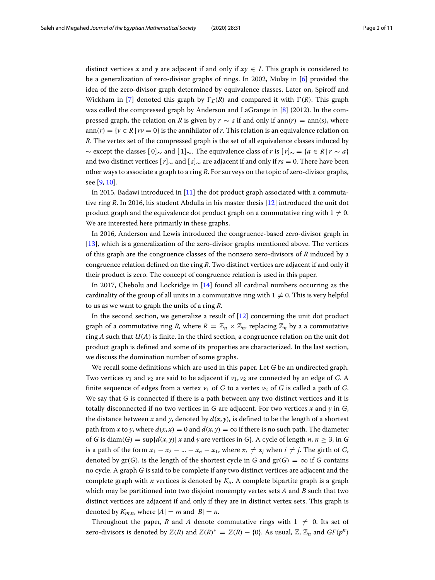distinct vertices *x* and *y* are adjacent if and only if  $xy \in I$ . This graph is considered to be a generalization of zero-divisor graphs of rings. In 2002, Mulay in [\[6\]](#page-9-5) provided the idea of the zero-divisor graph determined by equivalence classes. Later on, Spiroff and Wickham in [\[7\]](#page-9-6) denoted this graph by  $\Gamma_E(R)$  and compared it with  $\Gamma(R)$ . This graph was called the compressed graph by Anderson and LaGrange in [\[8\]](#page-9-7) (2012). In the compressed graph, the relation on *R* is given by  $r \sim s$  if and only if ann(*r*) = ann(*s*), where ann(*r*) = { $\nu \in R \mid r\nu = 0$ } is the annihilator of *r*. This relation is an equivalence relation on *R*. The vertex set of the compressed graph is the set of all equivalence classes induced by  $\sim$  except the classes  $\lceil 0 \rceil_{\sim}$  and  $\lceil 1 \rceil_{\sim}$ . The equivalence class of *r* is  $\lceil r \rceil_{\sim} = \{a \in \mathbb{R} \mid r \sim a\}$ and two distinct vertices [*r*]<sup>∼</sup> and [*s*]<sup>∼</sup> are adjacent if and only if *rs* <sup>=</sup> 0. There have been other ways to associate a graph to a ring *R*. For surveys on the topic of zero-divisor graphs, see [\[9,](#page-9-8) [10\]](#page-9-9).

In 2015, Badawi introduced in [\[11\]](#page-9-10) the dot product graph associated with a commutative ring *R*. In 2016, his student Abdulla in his master thesis [\[12\]](#page-9-11) introduced the unit dot product graph and the equivalence dot product graph on a commutative ring with  $1\neq 0.$ We are interested here primarily in these graphs.

In 2016, Anderson and Lewis introduced the congruence-based zero-divisor graph in [\[13\]](#page-9-12), which is a generalization of the zero-divisor graphs mentioned above. The vertices of this graph are the congruence classes of the nonzero zero-divisors of *R* induced by a congruence relation defined on the ring *R*. Two distinct vertices are adjacent if and only if their product is zero. The concept of congruence relation is used in this paper.

In 2017, Chebolu and Lockridge in [\[14\]](#page-10-0) found all cardinal numbers occurring as the cardinality of the group of all units in a commutative ring with  $1\neq 0.$  This is very helpful to us as we want to graph the units of a ring *R*.

In the second section, we generalize a result of [\[12\]](#page-9-11) concerning the unit dot product graph of a commutative ring *R*, where  $R = \mathbb{Z}_n \times \mathbb{Z}_n$ , replacing  $\mathbb{Z}_n$  by a a commutative ring *A* such that *U*(*A*) is finite. In the third section, a congruence relation on the unit dot product graph is defined and some of its properties are characterized. In the last section, we discuss the domination number of some graphs.

We recall some definitions which are used in this paper. Let *G* be an undirected graph. Two vertices  $v_1$  and  $v_2$  are said to be adjacent if  $v_1$ ,  $v_2$  are connected by an edge of *G*. A finite sequence of edges from a vertex  $v_1$  of *G* to a vertex  $v_2$  of *G* is called a path of *G*. We say that *G* is connected if there is a path between any two distinct vertices and it is totally disconnected if no two vertices in *G* are adjacent. For two vertices *x* and *y* in *G*, the distance between *x* and *y*, denoted by  $d(x, y)$ , is defined to be the length of a shortest path from *x* to *y*, where  $d(x, x) = 0$  and  $d(x, y) = \infty$  if there is no such path. The diameter of *G* is diam(*G*) = sup{ $d(x, y) | x$  and y are vertices in *G*}. A cycle of length *n*,  $n \ge 3$ , in *G* is a path of the form  $x_1 - x_2 - ... - x_n - x_1$ , where  $x_i \neq x_j$  when  $i \neq j$ . The girth of *G*, denoted by  $gr(G)$ , is the length of the shortest cycle in *G* and  $gr(G) = \infty$  if *G* contains no cycle. A graph *G* is said to be complete if any two distinct vertices are adjacent and the complete graph with *n* vertices is denoted by  $K_n$ . A complete bipartite graph is a graph which may be partitioned into two disjoint nonempty vertex sets *A* and *B* such that two distinct vertices are adjacent if and only if they are in distinct vertex sets. This graph is denoted by  $K_{m,n}$ , where  $|A| = m$  and  $|B| = n$ .

Throughout the paper, R and A denote commutative rings with  $1 \neq 0$ . Its set of zero-divisors is denoted by  $Z(R)$  and  $Z(R)^* = Z(R) - \{0\}$ . As usual,  $\mathbb{Z}, \mathbb{Z}_n$  and  $GF(p^n)$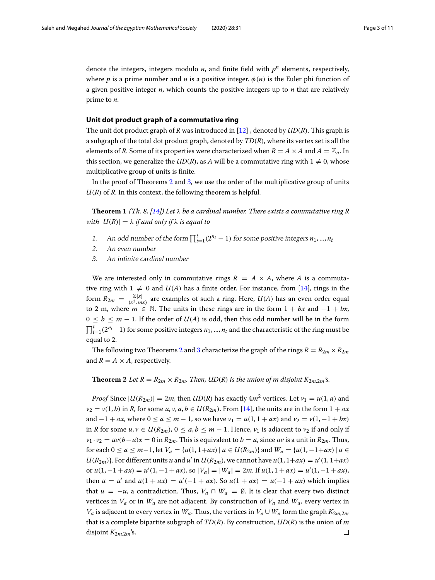denote the integers, integers modulo  $n$ , and finite field with  $p<sup>n</sup>$  elements, respectively, where *p* is a prime number and *n* is a positive integer.  $\phi(n)$  is the Euler phi function of a given positive integer *n*, which counts the positive integers up to *n* that are relatively prime to *n*.

## **Unit dot product graph of a commutative ring**

The unit dot product graph of *R* was introduced in [\[12\]](#page-9-11) , denoted by *UD*(*R*). This graph is a subgraph of the total dot product graph, denoted by *TD*(*R*), where its vertex set is all the elements of *R*. Some of its properties were characterized when  $R = A \times A$  and  $A = \mathbb{Z}_n$ . In this section, we generalize the  $UD(R)$ , as A will be a commutative ring with  $1 \neq 0$ , whose multiplicative group of units is finite.

In the proof of Theorems [2](#page-2-0) and [3,](#page-3-0) we use the order of the multiplicative group of units  $U(R)$  of  $R$ . In this context, the following theorem is helpful.

**Theorem 1** *(Th. 8, [\[14\]](#page-10-0))* Let  $\lambda$  *be a cardinal number. There exists a commutative ring R with*  $|U(R)| = \lambda$  *if and only if*  $\lambda$  *is equal to* 

- 1. An odd number of the form  $\prod_{i=1}^{t} (2^{n_i} 1)$  for some positive integers  $n_1, ..., n_t$
- 2. An even number
- 3. An infinite cardinal number

We are interested only in commutative rings  $R = A \times A$ , where A is a commutative ring with  $1 \neq 0$  and  $U(A)$  has a finite order. For instance, from [\[14\]](#page-10-0), rings in the form  $R_{2m} = \frac{\mathbb{Z}[x]}{(x^2, mx)}$  are examples of such a ring. Here,  $U(A)$  has an even order equal to 2 m, where  $m \in \mathbb{N}$ . The units in these rings are in the form  $1 + bx$  and  $-1 + bx$ ,  $0 \leq b \leq m-1$ . If the order of  $U(A)$  is odd, then this odd number will be in the form  $\prod_{i=1}^{t}(2^{n_i}-1)$  for some positive integers  $n_1, ..., n_t$  and the characteristic of the ring must be equal to 2.

The following two Theorems [2](#page-2-0) and [3](#page-3-0) characterize the graph of the rings  $R = R_{2m} \times R_{2m}$ and  $R = A \times A$ , respectively.

<span id="page-2-0"></span>**Theorem 2** *Let*  $R = R_{2m} \times R_{2m}$ . Then, *UD(R) is the union of m disjoint*  $K_{2m,2m}$ 's.

*Proof* Since  $|U(R_{2m})| = 2m$ , then  $UD(R)$  has exactly  $4m^2$  vertices. Let  $v_1 = u(1, a)$  and  $v_2 = v(1, b)$  in *R*, for some *u*, *v*, *a*, *b*  $\in$  *U*(*R*<sub>2*m*</sub>). From [\[14\]](#page-10-0), the units are in the form 1 + *ax* and  $-1 + ax$ , where  $0 \le a \le m - 1$ , so we have  $v_1 = u(1, 1 + ax)$  and  $v_2 = v(1, -1 + bx)$ in *R* for some *u*, *v* ∈ *U*( $R_{2m}$ ), 0 ≤ *a*, *b* ≤ *m* − 1. Hence, *v*<sub>1</sub> is adjacent to *v*<sub>2</sub> if and only if  $v_1 \cdot v_2 = uv(b-a)x = 0$  in  $R_{2m}$ . This is equivalent to  $b = a$ , since *uv* is a unit in  $R_{2m}$ . Thus, for each 0 ≤ *a* ≤ *m*−1, let *Va* = {*u*(1, 1+*ax*)| *u* ∈ *U*(*R*2*m*)} and *Wa* = {*u*(1, −1+*ax*)| *u* ∈ *U*( $R_{2m}$ )}. For different units *u* and *u'* in *U*( $R_{2m}$ ), we cannot have *u*(1, 1+*ax*) = *u'*(1, 1+*ax*) or  $u(1, -1 + ax) = u'(1, -1 + ax)$ , so  $|V_a| = |W_a| = 2m$ . If  $u(1, 1 + ax) = u'(1, -1 + ax)$ , then  $u = u'$  and  $u(1 + ax) = u'(-1 + ax)$ . So  $u(1 + ax) = u(-1 + ax)$  which implies that  $u = -u$ , a contradiction. Thus,  $V_a \cap W_a = \emptyset$ . It is clear that every two distinct vertices in  $V_a$  or in  $W_a$  are not adjacent. By construction of  $V_a$  and  $W_a$ , every vertex in *Va* is adjacent to every vertex in *W<sub>a</sub>*. Thus, the vertices in *V<sub>a</sub>* ∪ *W<sub>a</sub>* form the graph  $K_{2m,2m}$ that is a complete bipartite subgraph of *TD*(*R*). By construction, *UD*(*R*) is the union of *m* disjoint  $K_{2m,2m}$ 's.  $\Box$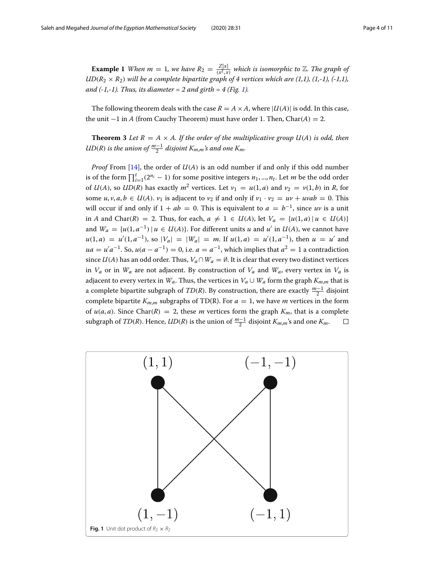<span id="page-3-2"></span>**Example 1** *When m* = 1*, we have*  $R_2 = \frac{Z[x]}{(x^2, x)}$  *which is isomorphic to* Z. The graph of  $UD(R_2 \times R_2)$  will be a complete bipartite graph of 4 vertices which are (1,1), (1,-1), (-1,1), *and (-1,-1). Thus, its diameter = 2 and girth = 4 (Fig. [1\)](#page-3-1).*

The following theorem deals with the case  $R = A \times A$ , where  $|U(A)|$  is odd. In this case, the unit −1 in *A* (from Cauchy Theorem) must have order 1. Then, Char(*A*) = 2.

<span id="page-3-0"></span>**Theorem 3** *Let*  $R = A \times A$ *. If the order of the multiplicative group*  $U(A)$  *<i>is odd, then*  $\mathcal{UD}(R)$  is the union of  $\frac{m-1}{2}$  disjoint  $K_{m,m}$ 's and one  $K_m$ .

*Proof* From [\[14\]](#page-10-0), the order of *U*(*A*) is an odd number if and only if this odd number is of the form  $\prod_{i=1}^{t} (2^{n_i} - 1)$  for some positive integers  $n_1, ..., n_t$ . Let *m* be the odd order of  $U(A)$ , so  $UD(R)$  has exactly  $m^2$  vertices. Let  $v_1 = u(1, a)$  and  $v_2 = v(1, b)$  in *R*, for some  $u, v, a, b \in U(A)$ .  $v_1$  is adjacent to  $v_2$  if and only if  $v_1 \cdot v_2 = uv + uvab = 0$ . This will occur if and only if  $1 + ab = 0$ . This is equivalent to  $a = b^{-1}$ , since uv is a unit  $\text{in } A \text{ and } \text{Char}(R) = 2. \text{ Thus, for each, } a ≠ 1 ∈ U(A), \text{ let } V_a = \{u(1, a) \mid u ∈ U(A)\}\$ and  $W_a = \{u(1, a^{-1}) \mid u \in U(A)\}$ . For different units *u* and *u'* in  $U(A)$ , we cannot have  $u(1, a) = u'(1, a^{-1})$ , so  $|V_a| = |W_a| = m$ . If  $u(1, a) = u'(1, a^{-1})$ , then  $u = u'$  and  $ua = u'a^{-1}$ . So,  $u(a - a^{-1}) = 0$ , i.e.  $a = a^{-1}$ , which implies that  $a^2 = 1$  a contradiction since  $U(A)$  has an odd order. Thus,  $V_a \cap W_a = \emptyset$ . It is clear that every two distinct vertices in  $V_a$  or in  $W_a$  are not adjacent. By construction of  $V_a$  and  $W_a$ , every vertex in  $V_a$  is adjacent to every vertex in  $W_a$ . Thus, the vertices in  $V_a \cup W_a$  form the graph  $K_{m,m}$  that is a complete bipartite subgraph of *TD*(*R*). By construction, there are exactly *<sup>m</sup>*−<sup>1</sup> <sup>2</sup> disjoint complete bipartite  $K_{m,m}$  subgraphs of TD(R). For  $a = 1$ , we have *m* vertices in the form of  $u(a, a)$ . Since Char(R) = 2, these *m* vertices form the graph  $K_m$ , that is a complete subgraph of *TD*(*R*). Hence, *UD*(*R*) is the union of  $\frac{m-1}{2}$  disjoint  $K_{m,m}$ 's and one  $K_m$ .  $\Box$ 

<span id="page-3-1"></span>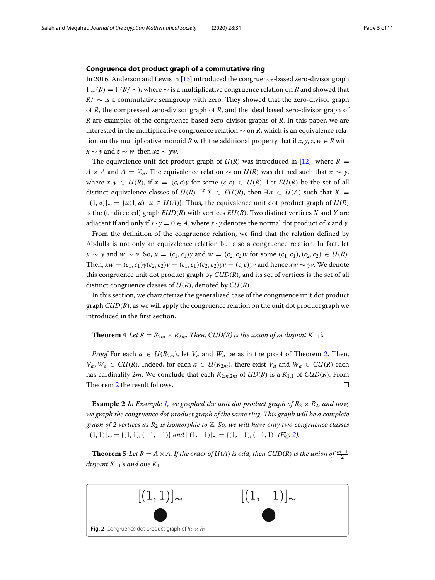#### **Congruence dot product graph of a commutative ring**

In 2016, Anderson and Lewis in [\[13\]](#page-9-12) introduced the congruence-based zero-divisor graph  $\Gamma_{\sim}(R) = \Gamma(R/\sim)$ , where  $\sim$  is a multiplicative congruence relation on *R* and showed that  $R$ /  $\sim$  is a commutative semigroup with zero. They showed that the zero-divisor graph of *R*, the compressed zero-divisor graph of *R*, and the ideal based zero-divisor graph of *R* are examples of the congruence-based zero-divisor graphs of *R*. In this paper, we are interested in the multiplicative congruence relation ∼ on *R*, which is an equivalence relation on the multiplicative monoid *R* with the additional property that if  $x, y, z, w \in R$  with *x* ∼ *y* and *z* ∼ *w*, then *xz* ∼ *yw*.

The equivalence unit dot product graph of  $U(R)$  was introduced in [\[12\]](#page-9-11), where  $R =$ *A* × *A* and *A* =  $\mathbb{Z}_n$ . The equivalence relation ∼ on *U*(*R*) was defined such that *x* ∼ *y*, where  $x, y \in U(R)$ , if  $x = (c, c)y$  for some  $(c, c) \in U(R)$ . Let  $EU(R)$  be the set of all distinct equivalence classes of  $U(R)$ . If  $X \in EU(R)$ , then  $\exists a \in U(A)$  such that  $X =$  $[(1, a)]_{\sim} = \{u(1, a) | u \in U(A)\}$ . Thus, the equivalence unit dot product graph of  $U(R)$ is the (undirected) graph  $EUD(R)$  with vertices  $EU(R)$ . Two distinct vertices *X* and *Y* are adjacent if and only if  $x \cdot y = 0 \in A$ , where  $x \cdot y$  denotes the normal dot product of x and y.

From the definition of the congruence relation, we find that the relation defined by Abdulla is not only an equivalence relation but also a congruence relation. In fact, let *x* ∼ *y* and *w* ∼ *v*. So, *x* = (*c*<sub>1</sub>, *c*<sub>1</sub>)*y* and *w* = (*c*<sub>2</sub>, *c*<sub>2</sub>)*v* for some (*c*<sub>1</sub>, *c*<sub>1</sub>),(*c*<sub>2</sub>, *c*<sub>2</sub>) ∈ *U*(*R*). Then,  $xw = (c_1, c_1)y(c_2, c_2)y = (c_1, c_1)(c_2, c_2)yv = (c, c)yv$  and hence  $xw \sim yv$ . We denote this congruence unit dot product graph by *CUD*(*R*), and its set of vertices is the set of all distinct congruence classes of *U*(*R*), denoted by *CU*(*R*).

In this section, we characterize the generalized case of the congruence unit dot product graph *CUD*(*R*), as we will apply the congruence relation on the unit dot product graph we introduced in the first section.

### **Theorem 4** *Let*  $R = R_{2m} \times R_{2m}$ . *Then, CUD(R) is the union of m disjoint*  $K_{1,1}$ *s.*

*Proof* For each  $a \in U(R_{2m})$ , let  $V_a$  and  $W_a$  be as in the proof of Theorem [2.](#page-2-0) Then, *Va*, *Wa* ∈ *CU*(*R*). Indeed, for each *a* ∈ *U*(*R*<sub>2*m*</sub>), there exist *V<sub>a</sub>* and *W<sub>a</sub>* ∈ *CU*(*R*) each has cardinality 2*m*. We conclude that each *K*2*m*,2*<sup>m</sup>* of *UD*(*R*) is a *K*1,1 of *CUD*(*R*). From Theorem [2](#page-2-0) the result follows.  $\Box$ 

**Example 2** In Example [1,](#page-3-2) we graphed the unit dot product graph of  $R_2 \times R_2$ , and now, *we graph the congruence dot product graph of the same ring. This graph will be a complete graph of 2 vertices as R*<sup>2</sup> *is isomorphic to* Z*. So, we will have only two congruence classes*  $[(1, 1)]_{\sim} = \{(1, 1), (-1, -1)\}$  *and*  $[(1, -1)]_{\sim} = \{(1, -1), (-1, 1)\}$  *(Fig.* [2\)](#page-4-0)*.* 

**Theorem 5** *Let*  $R = A \times A$ . If the order of  $U(A)$  is odd, then CUD(R) is the union of  $\frac{m-1}{2}$ *disjoint*  $K_{1,1}$ *'s and one*  $K_1$ *.* 

<span id="page-4-0"></span>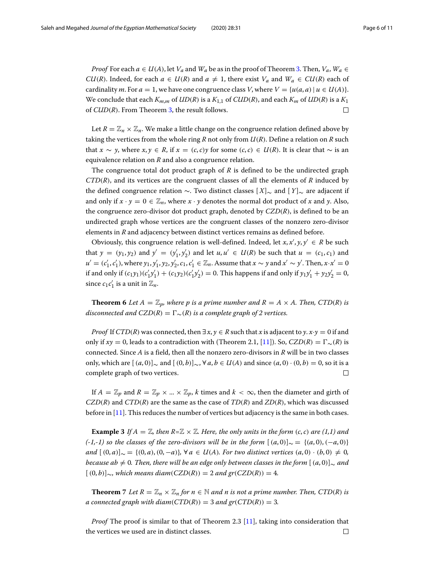*Proof* For each  $a \in U(A)$ , let  $V_a$  and  $W_a$  be as in the proof of Theorem [3.](#page-3-0) Then,  $V_a$ ,  $W_a \in$ *CU*(*R*). Indeed, for each  $a \in U(R)$  and  $a \neq 1$ , there exist  $V_a$  and  $W_a \in CU(R)$  each of cardinality *m*. For  $a = 1$ , we have one congruence class *V*, where  $V = \{u(a, a) | u \in U(A)\}.$ We conclude that each  $K_{m,m}$  of  $UD(R)$  is a  $K_{1,1}$  of  $CUD(R)$ , and each  $K_m$  of  $UD(R)$  is a  $K_1$ of *CUD*(*R*). From Theorem [3,](#page-3-0) the result follows.  $\Box$ 

Let  $R = \mathbb{Z}_n \times \mathbb{Z}_n$ . We make a little change on the congruence relation defined above by taking the vertices from the whole ring *R* not only from *U*(*R*). Define a relation on *R* such that *x* ∼ *y*, where *x*, *y* ∈ *R*, if  $x = (c, c)y$  for some  $(c, c) \in U(R)$ . It is clear that ∼ is an equivalence relation on *R* and also a congruence relation.

The congruence total dot product graph of *R* is defined to be the undirected graph *CTD*(*R*), and its vertices are the congruent classes of all the elements of *R* induced by the defined congruence relation ∼. Two distinct classes [ *X*]<sup>∼</sup> and [ *Y*]<sup>∼</sup> are adjacent if and only if  $x \cdot y = 0 \in \mathbb{Z}_n$ , where  $x \cdot y$  denotes the normal dot product of x and y. Also, the congruence zero-divisor dot product graph, denoted by *CZD*(*R*), is defined to be an undirected graph whose vertices are the congruent classes of the nonzero zero-divisor elements in *R* and adjacency between distinct vertices remains as defined before.

Obviously, this congruence relation is well-defined. Indeed, let  $x, x', y, y' \in R$  be such that  $y = (y_1, y_2)$  and  $y' = (y'_1, y'_2)$  and let  $u, u' \in U(R)$  be such that  $u = (c_1, c_1)$  and *u*<sup>'</sup> =  $(c'_1, c'_1)$ , where  $y_1, y'_1, y_2, y'_2, c_1, c'_1 \in \mathbb{Z}_n$ . Assume that *x* ∼ *y* and *x'* ∼ *y'*. Then, *x*·*x'* = 0 if and only if  $(c_1y_1)(c'_1y'_1) + (c_1y_2)(c'_1y'_2) = 0$ . This happens if and only if  $y_1y'_1 + y_2y'_2 = 0$ , since  $c_1 c'_1$  is a unit in  $\mathbb{Z}_n$ .

<span id="page-5-0"></span>**Theorem 6** Let  $A = \mathbb{Z}_p$ , where p is a prime number and  $R = A \times A$ . Then, CTD(R) is  $disconnected$  and  $CZD(R) = \Gamma_{\infty}(R)$  *is a complete graph of 2 vertices.* 

*Proof* If *CTD*(*R*) was connected, then  $\exists x, y \in R$  such that *x* is adjacent to *y*.  $x \cdot y = 0$  if and only if  $xy = 0$ , leads to a contradiction with (Theorem 2.1, [\[11\]](#page-9-10)). So,  $CZD(R) = \Gamma_{\sim}(R)$  is connected. Since *A* is a field, then all the nonzero zero-divisors in *R* will be in two classes only, which are  $[(a, 0)] \sim$  and  $[(0, b)] \sim$ ,  $\forall a, b \in U(A)$  and since  $(a, 0) \cdot (0, b) = 0$ , so it is a complete graph of two vertices.  $\Box$ 

If  $A = \mathbb{Z}_p$  and  $R = \mathbb{Z}_p \times ... \times \mathbb{Z}_p$ , *k* times and  $k < \infty$ , then the diameter and girth of *CZD*(*R*) and *CTD*(*R*) are the same as the case of *TD*(*R*) and *ZD*(*R*), which was discussed before in [\[11\]](#page-9-10). This reduces the number of vertices but adjacency is the same in both cases.

**Example 3** If  $A = \mathbb{Z}$ , then  $R = \mathbb{Z} \times \mathbb{Z}$ . Here, the only units in the form  $(c, c)$  are  $(1,1)$  and *(-1,-1) so the classes of the zero-divisors will be in the form*  $[(a, 0)] \sim = {(a, 0), (-a, 0)}$ *and*  $[(0, a)] \sim = {(0, a), (0, -a)}$ *,* ∀ *a* ∈ *U*(*A*)*. For two distinct vertices*  $(a, 0) \cdot (b, 0) \neq 0$ *, because ab*  $\neq$  *0. Then, there will be an edge only between classes in the form*  $[$  $(a, 0)]_{\sim}$  *and*  $[(0, b)]_{\sim}$ , which means diam( $CZD(R)$ ) = 2 and gr( $CZD(R)$ ) = 4*.* 

**Theorem** 7 *Let*  $R = \mathbb{Z}_n \times \mathbb{Z}_n$  *for*  $n \in \mathbb{N}$  *and n is not a prime number. Then, CTD(R) <i>is a connected graph with diam*( $CTD(R)$ ) = 3 *and gr*( $CTD(R)$ ) = 3.

*Proof* The proof is similar to that of Theorem 2.3 [\[11\]](#page-9-10), taking into consideration that the vertices we used are in distinct classes. $\Box$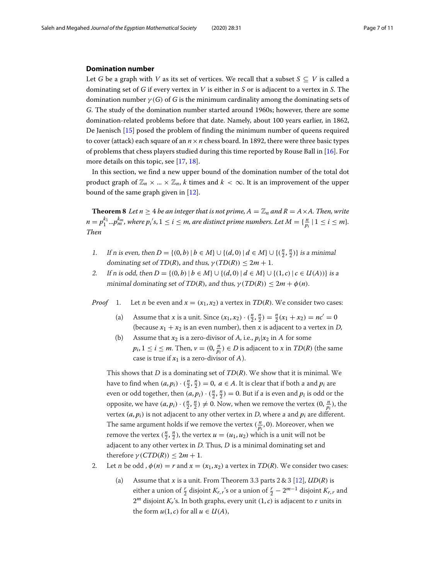#### **Domination number**

Let *G* be a graph with *V* as its set of vertices. We recall that a subset  $S \subseteq V$  is called a dominating set of *G* if every vertex in *V* is either in *S* or is adjacent to a vertex in *S*. The domination number  $\gamma(G)$  of *G* is the minimum cardinality among the dominating sets of *G*. The study of the domination number started around 1960s; however, there are some domination-related problems before that date. Namely, about 100 years earlier, in 1862, De Jaenisch [\[15\]](#page-10-1) posed the problem of finding the minimum number of queens required to cover (attack) each square of an  $n \times n$  chess board. In 1892, there were three basic types of problems that chess players studied during this time reported by Rouse Ball in [\[16\]](#page-10-2). For more details on this topic, see [\[17,](#page-10-3) [18\]](#page-10-4).

In this section, we find a new upper bound of the domination number of the total dot product graph of  $\mathbb{Z}_n \times ... \times \mathbb{Z}_n$ , *k* times and  $k < \infty$ . It is an improvement of the upper bound of the same graph given in [\[12\]](#page-9-11).

<span id="page-6-0"></span>**Theorem 8** *Let*  $n \geq 4$  *be an integer that is not prime,*  $A = \mathbb{Z}_n$  *and*  $R = A \times A$ *. Then, write*  $n = p_1^{k_1}...p_m^{k_m}$ , where  $p_i's, 1 \leq i \leq m$ , are distinct prime numbers. Let  $M = \{\frac{n}{p_i} \mid 1 \leq i \leq m\}$ . *Then*

- 1. If n is even, then  $D = \{(0, b) | b \in M\} \cup \{(d, 0) | d \in M\} \cup \{\left(\frac{n}{2}, \frac{n}{2}\right)\}\)$  is a minimal dominating set of *TD*(*R*), and thus,  $\gamma(TD(R)) \leq 2m + 1$ .
- 2. If n is odd, then  $D = \{(0, b) | b \in M\} \cup \{(d, 0) | d \in M\} \cup \{(1, c) | c \in U(A)\}\)$  is a minimal dominating set of *TD*(*R*), and thus,  $\gamma(TD(R)) \leq 2m + \phi(n)$ .
- *Proof* 1. Let n be even and  $x = (x_1, x_2)$  a vertex in  $TD(R)$ . We consider two cases:
	- (a) Assume that *x* is a unit. Since  $(x_1, x_2) \cdot (\frac{n}{2}, \frac{n}{2}) = \frac{n}{2}(x_1 + x_2) = nc' = 0$ (because  $x_1 + x_2$  is an even number), then x is adjacent to a vertex in D,
	- (b) Assume that  $x_2$  is a zero-divisor of A, i.e.,  $p_i|x_2$  in A for some  $p_i$ ,  $1 \le i \le m$ . Then,  $v = (0, \frac{n}{p_i}) \in D$  is adjacent to x in  $TD(R)$  (the same case is true if  $x_1$  is a zero-divisor of A).

This shows that <sup>D</sup> is a dominating set of *TD*(*R*). We show that it is minimal. We have to find when  $(a, p_i) \cdot (\frac{n}{2}, \frac{n}{2}) = 0$ ,  $a \in A$ . It is clear that if both a and  $p_i$  are even or odd together, then  $(a, p_i) \cdot (\frac{n}{2}, \frac{n}{2}) = 0$ . But if a is even and  $p_i$  is odd or the opposite, we have  $(a, p_i) \cdot (\frac{n}{2}, \frac{n}{2}) \neq 0$ . Now, when we remove the vertex  $(0, \frac{n}{p_i})$ , the vertex  $(a, p_i)$  is not adjacent to any other vertex in *D*, where a and  $p_i$  are different. The same argument holds if we remove the vertex  $(\frac{n}{p_i}, 0)$ . Moreover, when we remove the vertex  $(\frac{n}{2}, \frac{n}{2})$ , the vertex  $u = (u_1, u_2)$  which is a unit will not be adjacent to any other vertex in  $D$ . Thus,  $D$  is a minimal dominating set and therefore  $\gamma$  (*CTD*(*R*))  $\leq 2m + 1$ .

- 2. Let n be odd,  $\phi(n) = r$  and  $x = (x_1, x_2)$  a vertex in *TD(R)*. We consider two cases:
	- (a) Assume that <sup>x</sup> is a unit. From Theorem 3.3 parts 2 & 3 [\[12\]](#page-9-11), *UD*(*R*) is either a union of  $\frac{r}{2}$  disjoint  $K_{r,r}$ 's or a union of  $\frac{r}{2} - 2^{m-1}$  disjoint  $K_{r,r}$  and  $2<sup>m</sup>$  disjoint *K<sub>r</sub>*'s. In both graphs, every unit  $(1, c)$  is adjacent to *r* units in the form  $u(1, c)$  for all  $u \in U(A)$ ,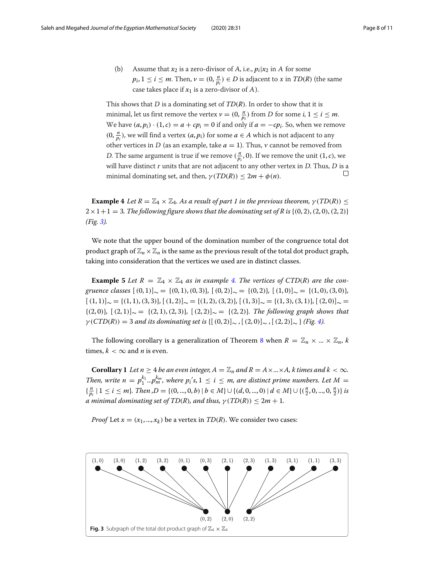(b) Assume that  $x_2$  is a zero-divisor of A, i.e.,  $p_i|x_2$  in A for some  $p_i$ ,  $1 \le i \le m$ . Then,  $v = (0, \frac{n}{p_i}) \in D$  is adjacent to x in  $TD(R)$  (the same case takes place if  $x_1$  is a zero-divisor of A).

This shows that <sup>D</sup> is a dominating set of *TD*(*R*). In order to show that it is minimal, let us first remove the vertex  $v = (0, \frac{n}{p_i})$  from D for some *i*,  $1 \le i \le m$ . We have  $(a, p_i) \cdot (1, c) = a + cp_i = 0$  if and only if  $a = -cp_i$ . So, when we remove  $(0, \frac{n}{p_i})$ , we will find a vertex  $(a, p_i)$  for some  $a \in A$  which is not adjacent to any other vertices in  $D$  (as an example, take  $a = 1$ ). Thus, v cannot be removed from *D*. The same argument is true if we remove  $(\frac{n}{p_i}, 0)$ . If we remove the unit  $(1, c)$ , we will have distinct  $r$  units that are not adjacent to any other vertex in  $D$ . Thus,  $D$  is a  $\Box$ minimal dominating set, and then,  $\gamma(TD(R)) \leq 2m + \phi(n)$ .

<span id="page-7-1"></span>**Example 4** *Let*  $R = \mathbb{Z}_4 \times \mathbb{Z}_4$ *. As a result of part 1 in the previous theorem,*  $\gamma(TD(R)) \leq$  $2 \times 1 + 1 = 3$ . The following figure shows that the dominating set of R is  $\{(0, 2), (2, 0), (2, 2)\}$ *(Fig. [3\)](#page-7-0).*

We note that the upper bound of the domination number of the congruence total dot product graph of  $\mathbb{Z}_n \times \mathbb{Z}_n$  is the same as the previous result of the total dot product graph, taking into consideration that the vertices we used are in distinct classes.

**Example 5** Let  $R = \mathbb{Z}_4 \times \mathbb{Z}_4$  *as in example [4.](#page-7-1) The vertices of CTD(R) are the congruence classes*  $[(0, 1)] \sim = {(0, 1), (0, 3)}$ ,  $[(0, 2)] \sim = {(0, 2)}$ ,  $[(1, 0)] \sim = {(1, 0), (3, 0)}$  $[(1, 1)]_{\sim} = {(1, 1), (3, 3)}, [(1, 2)]_{\sim} = {(1, 2), (3, 2)}, [(1, 3)]_{\sim} = {(1, 3), (3, 1)}, [(2, 0)]_{\sim} =$ {(2, 0)}*,* [(2, 1)]<sup>∼</sup> = {(2, 1),(2, 3)}*,* [(2, 2)]<sup>∼</sup> = {(2, 2)}*. The following graph shows that*  $\gamma$ (*CTD*(*R*)) = 3 *and its dominating set is* {[(0,2)]∼ , [(2,0)]∼ , [(2,2)]∼ } *(Fig. [4\)](#page-8-0).* 

The following corollary is a generalization of Theorem [8](#page-6-0) when  $R = \mathbb{Z}_n \times ... \times \mathbb{Z}_n$ , *k* times,  $k < \infty$  and *n* is even.

**Corollary 1** *Let*  $n \geq 4$  *be an even integer,*  $A = \mathbb{Z}_n$  *and*  $R = A \times ... \times A$ *, k times and*  $k < \infty$ *. Then, write*  $n = p_1^{k_1} ... p_m^{k_m}$ , where  $p_i$ 's,  $1 \le i \le m$ , are distinct prime numbers. Let  $M =$  $\{\frac{n}{p_i} \mid 1 \le i \le m\}$ . Then ,D = {(0, ..., 0, b) | b ∈ M}  $\cup$  {(d, 0, ..., 0) | d ∈ M}  $\cup$  {( $\frac{n}{2}$ , 0, ..., 0,  $\frac{n}{2}$ )} is *a* minimal dominating set of  $TD(R)$ , and thus,  $\gamma(TD(R)) \leq 2m + 1$ .

*Proof* Let  $x = (x_1, ..., x_k)$  be a vertex in *TD(R)*. We consider two cases:

<span id="page-7-0"></span>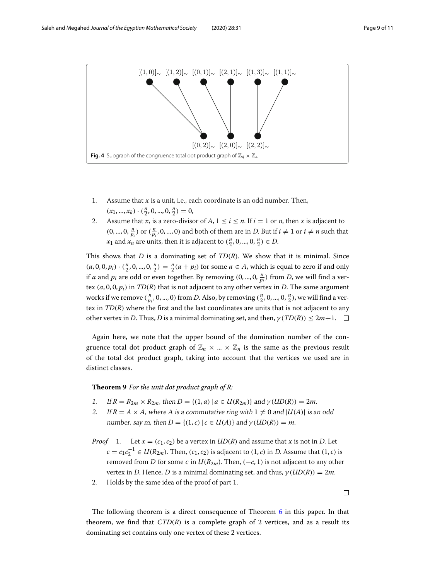

- <span id="page-8-0"></span>1. Assume that <sup>x</sup> is a unit, i.e., each coordinate is an odd number. Then,  $(x_1, ..., x_k) \cdot (\frac{n}{2}, 0, ..., 0, \frac{n}{2}) = 0,$
- 2. Assume that  $x_i$  is a zero-divisor of  $A$ ,  $1 \le i \le n$ . If  $i = 1$  or *n*, then *x* is adjacent to  $(0, ..., 0, \frac{n}{p_i})$  or  $(\frac{n}{p_i}, 0, ..., 0)$  and both of them are in *D*. But if  $i \neq 1$  or  $i \neq n$  such that *x*<sub>1</sub> and *x<sub>n</sub>* are units, then it is adjacent to  $(\frac{n}{2}, 0, ..., 0, \frac{n}{2}) \in D$ .

This shows that *D* is a dominating set of *TD*(*R*). We show that it is minimal. Since  $(a, 0, 0, p_i) \cdot (\frac{n}{2}, 0, ..., 0, \frac{n}{2}) = \frac{n}{2}(a + p_i)$  for some  $a \in A$ , which is equal to zero if and only if *a* and  $p_i$  are odd or even together. By removing  $(0, ..., 0, \frac{n}{p_i})$  from *D*, we will find a vertex (*a*, 0, 0, *pi*) in *TD*(*R*) that is not adjacent to any other vertex in *D*. The same argument works if we remove  $(\frac{n}{p_i}, 0, ..., 0)$  from *D*. Also, by removing  $(\frac{n}{2}, 0, ..., 0, \frac{n}{2})$ , we will find a vertex in *TD*(*R*) where the first and the last coordinates are units that is not adjacent to any other vertex in *D*. Thus, *D* is a minimal dominating set, and then,  $\gamma(TD(R)) \leq 2m+1$ .  $\Box$ 

Again here, we note that the upper bound of the domination number of the congruence total dot product graph of  $\mathbb{Z}_n \times ... \times \mathbb{Z}_n$  is the same as the previous result of the total dot product graph, taking into account that the vertices we used are in distinct classes.

**Theorem 9** *For the unit dot product graph of R:*

- 1. If  $R = R_{2m} \times R_{2m}$ , then  $D = \{(1, a) | a \in U(R_{2m})\}$  and  $\gamma(UD(R)) = 2m$ .
- 2. If  $R = A \times A$ , where A is a commutative ring with  $1 \neq 0$  and  $|U(A)|$  is an odd number, say m, then  $D = \{(1, c) | c \in U(A) \}$  and  $\gamma(UD(R)) = m$ .
- *Proof* 1. Let  $x = (c_1, c_2)$  be a vertex in  $UD(R)$  and assume that x is not in D. Let *c* = *c*<sub>1</sub> $c_2^{-1}$  ∈ *U*( $R_{2m}$ ). Then, (*c*<sub>1</sub>, *c*<sub>2</sub>) is adjacent to (1, *c*) in *D*. Assume that (1, *c*) is removed from *D* for some *c* in  $U(R_{2m})$ . Then, ( $-c$ , 1) is not adjacent to any other vertex in D. Hence, D is a minimal dominating set, and thus,  $\gamma (UD(R)) = 2m$ .
- 2. Holds by the same idea of the proof of part 1.

 $\Box$ 

The following theorem is a direct consequence of Theorem [6](#page-5-0) in this paper. In that theorem, we find that  $CTD(R)$  is a complete graph of 2 vertices, and as a result its dominating set contains only one vertex of these 2 vertices.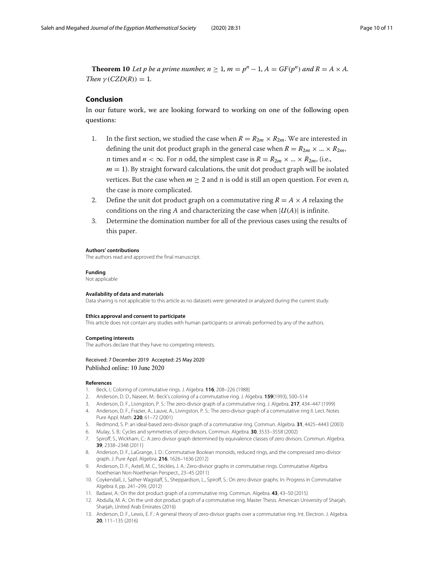**Theorem 10** Let p be a prime number,  $n \geq 1$ ,  $m = p^n - 1$ ,  $A = GF(p^n)$  and  $R = A \times A$ . *Then*  $\gamma$  (*CZD(R)*) = 1*.* 

## **Conclusion**

In our future work, we are looking forward to working on one of the following open questions:

- 1. In the first section, we studied the case when  $R = R_{2m} \times R_{2m}$ . We are interested in defining the unit dot product graph in the general case when  $R = R_{2m} \times ... \times R_{2m}$ , *n* times and  $n < \infty$ . For *n* odd, the simplest case is  $R = R_{2m} \times ... \times R_{2m}$ , (i.e.,  $m = 1$ ). By straight forward calculations, the unit dot product graph will be isolated vertices. But the case when  $m > 2$  and n is odd is still an open question. For even n, the case is more complicated.
- 2. Define the unit dot product graph on a commutative ring  $R = A \times A$  relaxing the conditions on the ring A and characterizing the case when  $|U(A)|$  is infinite.
- 3. Determine the domination number for all of the previous cases using the results of this paper.

#### **Authors' contributions**

The authors read and approved the final manuscript.

#### **Funding**

Not applicable

#### **Availability of data and materials**

Data sharing is not applicable to this article as no datasets were generated or analyzed during the current study.

#### **Ethics approval and consent to participate**

This article does not contain any studies with human participants or animals performed by any of the authors.

#### **Competing interests**

The authors declare that they have no competing interests.

#### Received: 7 December 2019 Accepted: 25 May 2020 Published online: 10 June 2020

#### **References**

- <span id="page-9-0"></span>1. Beck, I.: Coloring of commutative rings. J. Algebra. **116**, 208–226 (1988)
- <span id="page-9-1"></span>2. Anderson, D. D., Naseer, M.: Beck's coloring of a commutative ring. J. Algebra. **159**(1993), 500–514
- <span id="page-9-2"></span>3. Anderson, D. F., Livingston, P. S.: The zero-divisor graph of a commutative ring. J. Algebra. **217**, 434–447 (1999)
- <span id="page-9-3"></span>4. Anderson, D. F., Frazier, A., Lauve, A., Livingston, P. S.: The zero-divisor graph of a commutative ring II. Lect. Notes Pure Appl. Math. **220**, 61–72 (2001)
- <span id="page-9-4"></span>5. Redmond, S. P: an ideal-based zero-divisor graph of a commutative ring. Commun. Algebra. **31**, 4425–4443 (2003)
- <span id="page-9-5"></span>6. Mulay, S. B.: Cycles and symmetries of zero-divisors. Commun. Algebra. **30**, 3533–3558 (2002)
- <span id="page-9-6"></span>7. Spiroff, S., Wickham, C.: A zero divisor graph determined by equivalence classes of zero divisors. Commun. Algebra. **39**, 2338–2348 (2011)
- <span id="page-9-7"></span>8. Anderson, D. F., LaGrange, J. D.: Commutative Boolean monoids, reduced rings, and the compressed zero-divisor graph. J. Pure Appl. Algebra. **216**, 1626–1636 (2012)
- <span id="page-9-8"></span>9. Anderson, D. F., Axtell, M. C., Stickles, J. A.: Zero-divisor graphs in commutative rings. Commutative Algebra Noetherian Non-Noetherian Perspect., 23–45 (2011)
- <span id="page-9-9"></span>10. Coykendall, J., Sather-Wagstaff, S., Sheppardson, L., Spiroff, S.: On zero divisor graphs. In: Progress in Commutative Algebra II, pp. 241–299, (2012)
- <span id="page-9-10"></span>11. Badawi, A.: On the dot product graph of a commutative ring. Commun. Algebra. **43**, 43–50 (2015)
- <span id="page-9-11"></span>12. Abdulla, M. A.: On the unit dot product graph of a commutative ring, Master Thesis. American University of Sharjah, Sharjah, United Arab Emirates (2016)
- <span id="page-9-12"></span>13. Anderson, D. F., Lewis, E. F.: A general theory of zero-divisor graphs over a commutative ring. Int. Electron. J. Algebra. **20**, 111–135 (2016)